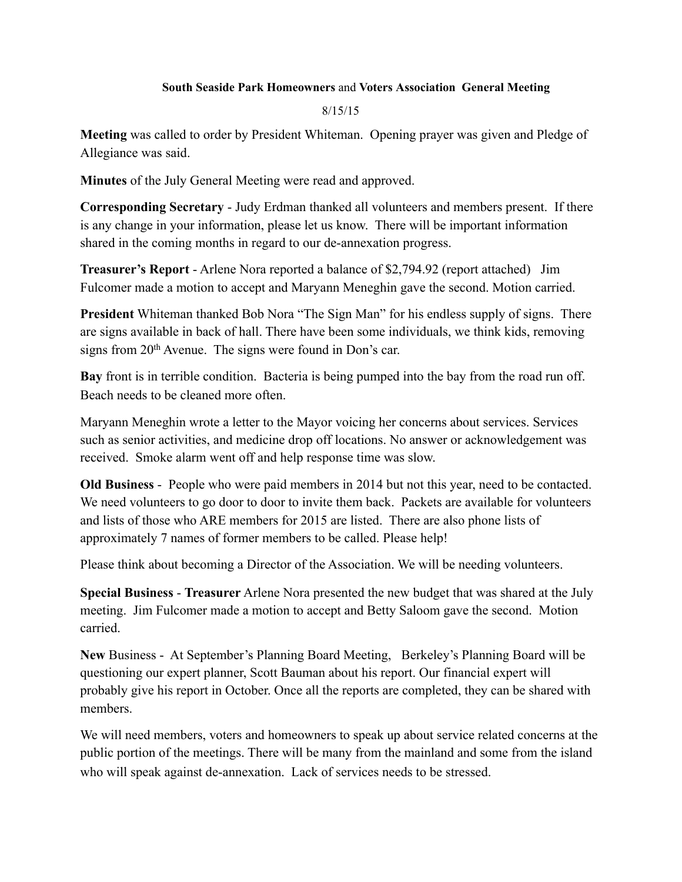## **South Seaside Park Homeowners** and **Voters Association General Meeting**

8/15/15

**Meeting** was called to order by President Whiteman. Opening prayer was given and Pledge of Allegiance was said.

**Minutes** of the July General Meeting were read and approved.

**Corresponding Secretary** - Judy Erdman thanked all volunteers and members present. If there is any change in your information, please let us know. There will be important information shared in the coming months in regard to our de-annexation progress.

**Treasurer's Report** - Arlene Nora reported a balance of \$2,794.92 (report attached) Jim Fulcomer made a motion to accept and Maryann Meneghin gave the second. Motion carried.

**President** Whiteman thanked Bob Nora "The Sign Man" for his endless supply of signs. There are signs available in back of hall. There have been some individuals, we think kids, removing signs from 20<sup>th</sup> Avenue. The signs were found in Don's car.

**Bay** front is in terrible condition. Bacteria is being pumped into the bay from the road run off. Beach needs to be cleaned more often.

Maryann Meneghin wrote a letter to the Mayor voicing her concerns about services. Services such as senior activities, and medicine drop off locations. No answer or acknowledgement was received. Smoke alarm went off and help response time was slow.

**Old Business** - People who were paid members in 2014 but not this year, need to be contacted. We need volunteers to go door to door to invite them back. Packets are available for volunteers and lists of those who ARE members for 2015 are listed. There are also phone lists of approximately 7 names of former members to be called. Please help!

Please think about becoming a Director of the Association. We will be needing volunteers.

**Special Business** - **Treasurer** Arlene Nora presented the new budget that was shared at the July meeting. Jim Fulcomer made a motion to accept and Betty Saloom gave the second. Motion carried.

**New** Business - At September's Planning Board Meeting, Berkeley's Planning Board will be questioning our expert planner, Scott Bauman about his report. Our financial expert will probably give his report in October. Once all the reports are completed, they can be shared with members.

We will need members, voters and homeowners to speak up about service related concerns at the public portion of the meetings. There will be many from the mainland and some from the island who will speak against de-annexation. Lack of services needs to be stressed.